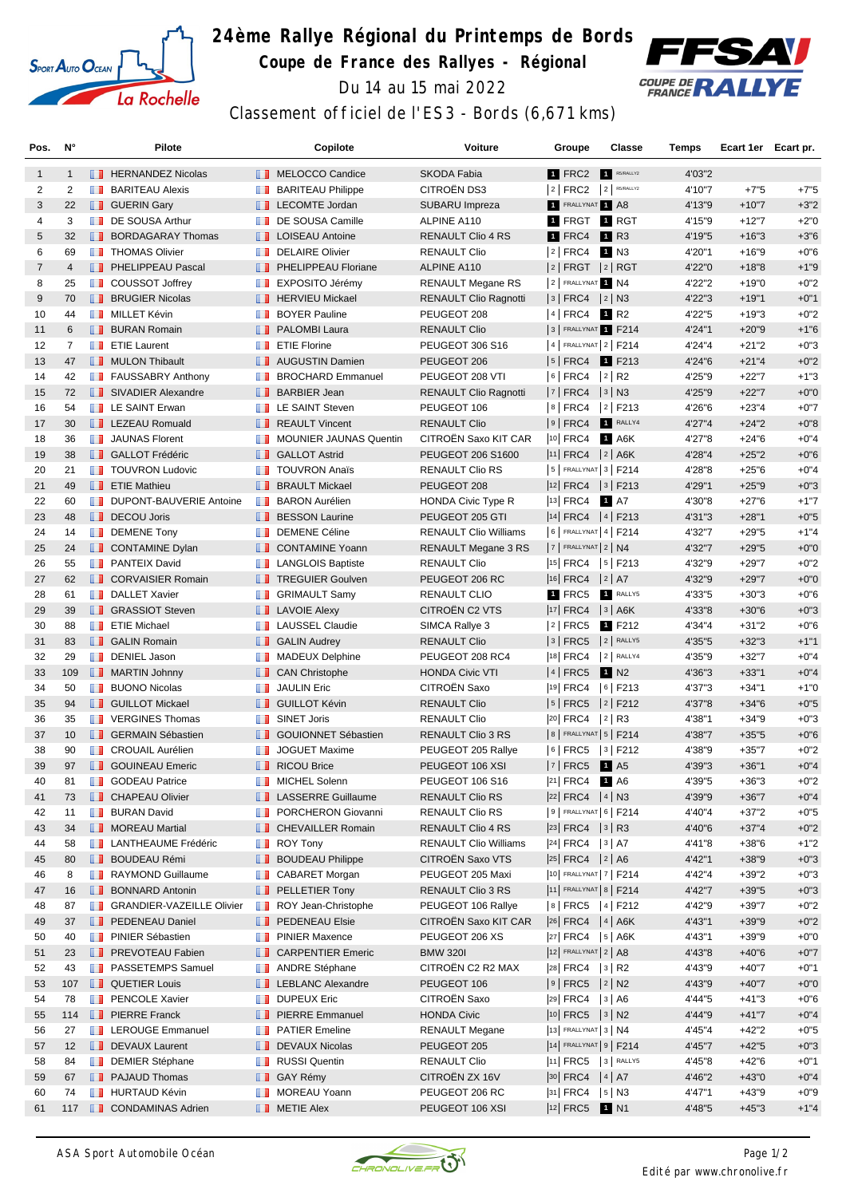

## **24ème Rallye Régional du Printemps de Bords Coupe de France des Rallyes - Régional**



Du 14 au 15 mai 2022

## Classement officiel de l'ES3 - Bords (6,671 kms)

| Pos.           | N°             |   | Pilote                            |                                                                                                                                                                                                                                      | Copilote                         | Voiture                      | Groupe                                                                              |                      | <b>Classe</b><br><b>Temps</b> | Ecart 1er Ecart pr. |        |
|----------------|----------------|---|-----------------------------------|--------------------------------------------------------------------------------------------------------------------------------------------------------------------------------------------------------------------------------------|----------------------------------|------------------------------|-------------------------------------------------------------------------------------|----------------------|-------------------------------|---------------------|--------|
| 1              | $\mathbf{1}$   |   | <b>EXP</b> HERNANDEZ Nicolas      |                                                                                                                                                                                                                                      | MELOCCO Candice                  | <b>SKODA Fabia</b>           | 1 FRC2                                                                              | R5/RALLY2            | 4'03"2                        |                     |        |
| 2              | 2              |   | <b>BARITEAU Alexis</b>            | ш                                                                                                                                                                                                                                    | <b>BARITEAU Philippe</b>         | <b>CITROËN DS3</b>           | $ 2 $ FRC2                                                                          | $2$ R5/RALLY2        | 4'10"7                        | $+7"5$              | $+7"5$ |
| 3              | 22             |   | <b>B</b> GUERIN Gary              |                                                                                                                                                                                                                                      | <b>LECOMTE Jordan</b>            | SUBARU Impreza               | 1 FRALLYNAT 1 A8                                                                    |                      | 4'13"9                        | $+10"7$             | $+3"2$ |
| 4              | 3              |   | DE SOUSA Arthur                   | a a                                                                                                                                                                                                                                  | DE SOUSA Camille                 | ALPINE A110                  | 1 FRGT 1 RGT                                                                        |                      | 4'15"9                        | $+12"7$             | $+2"0$ |
| 5              | 32             |   | <b>BORDAGARAY Thomas</b>          | . .                                                                                                                                                                                                                                  | <b>LOISEAU Antoine</b>           | <b>RENAULT Clio 4 RS</b>     | 1 FRC4                                                                              | 1 R3                 | 4'19"5                        | $+16"3$             | $+3"6$ |
| 6              | 69             |   | <b>THOMAS Olivier</b>             | <b>TO 1</b>                                                                                                                                                                                                                          | <b>DELAIRE Olivier</b>           | <b>RENAULT Clio</b>          | $ 2 $ FRC4                                                                          | 1 N3                 | 4'20"1                        | $+16"9$             | $+0"6$ |
| $\overline{7}$ | $\overline{4}$ |   | <b>FELIPPEAU Pascal</b>           | <b>II</b>                                                                                                                                                                                                                            | PHELIPPEAU Floriane              | ALPINE A110                  | $ 2 $ FRGT $ 2 $ RGT                                                                |                      | 4'22"0                        | $+18"8$             | $+1"9$ |
| 8              | 25             |   | <b>DE</b> COUSSOT Joffrey         | m                                                                                                                                                                                                                                    | EXPOSITO Jérémy                  | <b>RENAULT Megane RS</b>     | 2 FRALLYNAT 1 N4                                                                    |                      | 4'22"2                        | $+19"0$             | $+0"2$ |
| 9              | 70             |   | <b>BRUGIER Nicolas</b>            |                                                                                                                                                                                                                                      | <b>F</b> HERVIEU Mickael         | <b>RENAULT Clio Ragnotti</b> | $ 3 $ FRC4 $ 2 $ N3                                                                 |                      | 4'22"3                        | $+19"1$             | $+0"1$ |
| 10             | 44             |   | <b>NILLET Kévin</b>               | <b>The Contract</b>                                                                                                                                                                                                                  | <b>BOYER Pauline</b>             | PEUGEOT 208                  | $ 4 $ FRC4 <b>1</b> R2                                                              |                      | 4'22"5                        | $+19"3$             | $+0"2$ |
| 11             | 6              |   | <b>BURAN Romain</b>               |                                                                                                                                                                                                                                      | <b>PALOMBI Laura</b>             | <b>RENAULT Clio</b>          | 3 FRALLYNAT 1 F214                                                                  |                      | 4'24"1                        | $+20"9$             | $+1"6$ |
| 12             | $\overline{7}$ |   | <b>Example T</b> ETIE Laurent     |                                                                                                                                                                                                                                      | <b>T</b> ETIE Florine            | PEUGEOT 306 S16              | 4   FRALLYNAT 2   F214                                                              |                      | 4'24"4                        | $+21"2$             | $+0"3$ |
| 13             | 47             |   | <b>NULON Thibault</b>             |                                                                                                                                                                                                                                      | <b>NET</b> AUGUSTIN Damien       | PEUGEOT 206                  | $ 5 $ FRC4                                                                          | 1 F213               | 4'24"6                        | $+21"4$             | $+0"2$ |
| 14             | 42             |   | <b>FAUSSABRY Anthony</b>          | ш                                                                                                                                                                                                                                    | <b>BROCHARD Emmanuel</b>         | PEUGEOT 208 VTI              | $6$ FRC4                                                                            | $ 2 $ R <sub>2</sub> | 4'25"9                        | $+22"7$             | $+1"3$ |
| 15             | 72             |   | SIVADIER Alexandre                | <b>H.H.</b>                                                                                                                                                                                                                          | <b>BARBIER Jean</b>              | <b>RENAULT Clio Ragnotti</b> | $ 7 $ FRC4                                                                          | $ 3 $ N3             | 4'25"9                        | $+22"7$             | $+0"0$ |
| 16             | 54             |   | <b>EXAINT Erwan</b>               |                                                                                                                                                                                                                                      | <b>EXALLE SAINT Steven</b>       | PEUGEOT 106                  | $8$ FRC4                                                                            | $ 2 $ F213           | 4'26"6                        | $+23"4$             | $+0"7$ |
| 17             | 30             |   | <b>EXECUED</b> LEZEAU Romuald     |                                                                                                                                                                                                                                      | <b>REAULT Vincent</b>            | <b>RENAULT Clio</b>          | $ 9 $ FRC4                                                                          | RALLY4               | 4'27"4                        | $+24"2$             | $+0"8$ |
| 18             | 36             |   | <b>T</b> JAUNAS Florent           |                                                                                                                                                                                                                                      | MOUNIER JAUNAS Quentin           | CITROEN Saxo KIT CAR         | $ 10 $ FRC4                                                                         | 1 A6K                | 4'27"8                        | $+24"6$             | $+0"4$ |
| 19             | 38             |   | <b>B</b> GALLOT Frédéric          |                                                                                                                                                                                                                                      | <b>B</b> GALLOT Astrid           | PEUGEOT 206 S1600            | $ 11 $ FRC4 $ 2 $ A6K                                                               |                      | 4'28"4                        | $+25"2$             | $+0"6$ |
| 20             | 21             |   | <b>T</b> TOUVRON Ludovic          | ш                                                                                                                                                                                                                                    | <b>TOUVRON Anaïs</b>             | <b>RENAULT Clio RS</b>       | $ 5 $ FRALLYNAT $ 3 $ F214                                                          |                      | 4'28"8                        | $+25"6$             | $+0"4$ |
| 21             | 49             |   | <b>EXAMPLE THE Mathieur</b>       |                                                                                                                                                                                                                                      | <b>BRAULT Mickael</b>            | PEUGEOT 208                  | $ 12 $ FRC4 $ 3 $ F213                                                              |                      | 4'29"1                        | $+25"9$             | $+0"3$ |
| 22             | 60             |   | <b>DUPONT-BAUVERIE Antoine</b>    | <b>TELEVISION</b>                                                                                                                                                                                                                    | <b>BARON Aurélien</b>            | <b>HONDA Civic Type R</b>    | 13 FRC4 <b>1</b> A7                                                                 |                      | 4'30"8                        | $+27"6$             | $+1"7$ |
| 23             | 48             |   | DECOU Joris                       | ш                                                                                                                                                                                                                                    | <b>BESSON Laurine</b>            | PEUGEOT 205 GTI              | $ 14 $ FRC4 $ 4 $ F213                                                              |                      | 4'31"3                        | $+28"1$             | $+0"5$ |
| 24             | 14             |   | <b>DEMENE Tony</b>                |                                                                                                                                                                                                                                      | <b>DEMENE Céline</b>             | <b>RENAULT Clio Williams</b> | 6   FRALLYNAT 4   F214                                                              |                      | 4'32"7                        | $+29"5$             | $+1"4$ |
| 25             | 24             |   | CONTAMINE Dylan                   | ш                                                                                                                                                                                                                                    | <b>CONTAMINE Yoann</b>           | RENAULT Megane 3 RS          | $7$ FRALLYNAT $2$ N4                                                                |                      | 4'32"7                        | $+29"5$             | $+0"0$ |
| 26             | 55             |   | <b>PANTEIX David</b>              | <b>TELEVISION</b>                                                                                                                                                                                                                    | <b>LANGLOIS Baptiste</b>         | <b>RENAULT Clio</b>          | $ 15 $ FRC4                                                                         | $ 5 $ F213           | 4'32"9                        | $+29"7$             | $+0"2$ |
| 27             | 62             |   | <b>CORVAISIER Romain</b>          |                                                                                                                                                                                                                                      | <b>TREGUIER Goulven</b>          | PEUGEOT 206 RC               | $ 16 $ FRC4 $ 2 $ A7                                                                |                      | 4'32"9                        | $+29"7$             | $+0"0$ |
| 28             | 61             |   | <b>DALLET Xavier</b>              | <b>Maria</b>                                                                                                                                                                                                                         | <b>GRIMAULT Samy</b>             | <b>RENAULT CLIO</b>          | 1 FRC5                                                                              | RALLY5               | 4'33"5                        | $+30"3$             | $+0"6$ |
| 29             | 39             |   | <b>B</b> GRASSIOT Steven          |                                                                                                                                                                                                                                      | <b>LAVOIE Alexy</b>              | CITROËN C2 VTS               | 17  FRC4   3   A6K                                                                  |                      | 4'33"8                        | $+30"6$             | $+0"3$ |
| 30             | 88             |   | <b>ETIE Michael</b>               |                                                                                                                                                                                                                                      | <b>LE</b> LAUSSEL Claudie        | SIMCA Rallye 3               | $ 2 $ FRC5                                                                          | 1 F212               | 4'34"4                        | $+31"2$             | $+0"6$ |
| 31             | 83             |   | <b>B</b> GALIN Romain             |                                                                                                                                                                                                                                      | <b>B</b> GALIN Audrey            | <b>RENAULT Clio</b>          | $3$ FRC5                                                                            | $ 2 $ RALLY5         | 4'35"5                        | $+32"3$             | $+1"1$ |
| 32             | 29             |   | <b>DENIEL Jason</b>               | <b>FOR</b>                                                                                                                                                                                                                           | <b>MADEUX Delphine</b>           | PEUGEOT 208 RC4              | 18 FRC4                                                                             | 2 RALLY4             | 4'35"9                        | $+32"7$             | $+0"4$ |
| 33             | 109            |   | <b>NARTIN Johnny</b>              |                                                                                                                                                                                                                                      | <b>CAN Christophe</b>            | <b>HONDA Civic VTI</b>       | 4 FRC5                                                                              | 1 N <sub>2</sub>     | 4'36"3                        | $+33"1$             | $+0"4$ |
| 34             | 50             | ш | <b>BUONO Nicolas</b>              | ш                                                                                                                                                                                                                                    | <b>JAULIN Eric</b>               | CITROËN Saxo                 | <sup>19</sup> FRC4                                                                  | $ 6 $ F213           | 4'37"3                        | $+34"1$             | $+1"0$ |
| 35             | 94             |   | <b>B</b> GUILLOT Mickael          |                                                                                                                                                                                                                                      | <b>B</b> GUILLOT Kévin           | <b>RENAULT Clio</b>          | $ 5 $ FRC5                                                                          | $ 2 $ F212           | 4'37"8                        | $+34"6$             | $+0"5$ |
| 36             | 35             |   | <b>THE VERGINES Thomas</b>        | <b>TELEVISION</b>                                                                                                                                                                                                                    | <b>SINET Joris</b>               | <b>RENAULT Clio</b>          | $ 20 $ FRC4                                                                         | $ 2 $ R3             | 4'38"1                        | $+34"9$             | $+0"3$ |
| 37             | 10             |   | <b>B</b> GERMAIN Sébastien        | H.                                                                                                                                                                                                                                   | GOUIONNET Sébastien              | RENAULT Clio 3 RS            | 8   FRALLYNAT   5   F214                                                            |                      | 4'38"7                        | $+35"5$             | $+0"6$ |
| 38             | 90             |   | <b>T</b> CROUAIL Aurélien         | <b>ILL B</b>                                                                                                                                                                                                                         | <b>JOGUET Maxime</b>             | PEUGEOT 205 Rallye           | $ 6 $ FRC5                                                                          | $ 3 $ F212           | 4'38"9                        | $+35"7$             | $+0"2$ |
| 39             | 97             |   | <b>I</b> GOUINEAU Emeric          |                                                                                                                                                                                                                                      | RICOU Brice                      | PEUGEOT 106 XSI              | $ 7 $ FRC5 1 A5                                                                     |                      | 4'39"3                        | $+36"1$             | $+0"4$ |
| 40             | 81             | ш | <b>GODEAU Patrice</b>             |                                                                                                                                                                                                                                      | <b>NICHEL Solenn</b>             | PEUGEOT 106 S16              | $ ^{21}$ FRC4 1 A6                                                                  |                      | 4'39"5                        | +36"3               | +0"2   |
| 41             | 73             |   | <b>CHAPEAU Olivier</b>            |                                                                                                                                                                                                                                      | <b>LE</b> LASSERRE Guillaume     | <b>RENAULT Clio RS</b>       | $ 22 $ FRC4 $ 4 $ N3                                                                |                      | 4'39"9                        | $+36"7$             | $+0"4$ |
| 42             | 11             |   | <b>BURAN David</b>                |                                                                                                                                                                                                                                      | <b>PORCHERON Giovanni</b>        | RENAULT Clio RS              | $ 9 $ Frallynat $ 6 $ F214                                                          |                      | 4'40"4                        | $+37"2$             | $+0"5$ |
| 43             | 34             |   | MOREAU Martial                    |                                                                                                                                                                                                                                      | <b>CHEVAILLER Romain</b>         | RENAULT Clio 4 RS            | $ 23 $ FRC4 $ 3 $ R3                                                                |                      | 4'40"6                        | $+37"4$             | $+0"2$ |
| 44             | 58             |   | <b>LANTHEAUME Frédéric</b>        |                                                                                                                                                                                                                                      | $\blacksquare$ ROY Tony          | <b>RENAULT Clio Williams</b> | $ 24 $ FRC4 $ 3 $ A7                                                                |                      | 4'41"8                        | $+38"6$             | $+1"2$ |
| 45             | 80             |   | <b>BOUDEAU Rémi</b>               |                                                                                                                                                                                                                                      | <b>BOUDEAU Philippe</b>          | CITROËN Saxo VTS             | $ 25 $ FRC4 $ 2 $ A6                                                                |                      | 4'42"1                        | $+38"9$             | $+0"3$ |
| 46             | 8              |   | <b>RAYMOND Guillaume</b>          |                                                                                                                                                                                                                                      | <b>B</b> CABARET Morgan          | PEUGEOT 205 Maxi             | 10 FRALLYNAT 7   F214                                                               |                      | 4'42"4                        | $+39"2$             | $+0"3$ |
| 47             | 16             |   | <b>BONNARD Antonin</b>            |                                                                                                                                                                                                                                      | <b>PELLETIER Tony</b>            | RENAULT Clio 3 RS            | 11 FRALLYNAT 8   F214                                                               |                      | 4'42"7                        | $+39"5$             | $+0"3$ |
| 48             | 87             |   | <b>SRANDIER-VAZEILLE Olivier</b>  | <b>The Contract of the Contract of the Contract of the Contract of the Contract of the Contract of the Contract of the Contract of the Contract of the Contract of the Contract of The Contract of The Contract of The Contract </b> | ROY Jean-Christophe              | PEUGEOT 106 Rallye           | 8 FRC5 4 F212                                                                       |                      | 4'42"9                        | $+39"7$             | $+0"2$ |
| 49             | 37             |   | <b>PEDENEAU Daniel</b>            |                                                                                                                                                                                                                                      | <b>PEDENEAU Elsie</b>            | CITROËN Saxo KIT CAR         | $\begin{vmatrix} 26 \\ FRC4 \end{vmatrix}$ $\begin{vmatrix} 4 \\ A6K \end{vmatrix}$ |                      | 4'43"1                        | $+39"9$             | $+0"2$ |
| 50             | 40             |   | <b>Fi</b> PINIER Sébastien        |                                                                                                                                                                                                                                      | <b>PINIER Maxence</b>            | PEUGEOT 206 XS               | $ 27 $ FRC4 $ 5 $ A6K                                                               |                      | 4'43"1                        | $+39"9$             | $+0"0$ |
| 51             | 23             |   | <b>FREVOTEAU Fabien</b>           |                                                                                                                                                                                                                                      | <b>CARPENTIER Emeric</b>         | <b>BMW 320I</b>              | 12 FRALLYNAT 2   A8                                                                 |                      | 4'43"8                        | $+40"6$             | $+0"7$ |
| 52             | 43             |   | <b>FI PASSETEMPS Samuel</b>       |                                                                                                                                                                                                                                      | <b>ANDRE Stéphane</b>            | CITROËN C2 R2 MAX            | 28 FRC4   3   R2                                                                    |                      | 4'43"9                        | +40"7               | $+0"1$ |
| 53             | 107            |   | <b>QUETIER Louis</b>              |                                                                                                                                                                                                                                      | <b>EXECUTE LEBLANC Alexandre</b> | PEUGEOT 106                  | $ 9 $ FRC5 $ 2 $ N2                                                                 |                      | 4'43"9                        | $+40"7$             | $+0"0$ |
| 54             | 78             |   | <b>F</b> PENCOLE Xavier           | <b>11 B</b>                                                                                                                                                                                                                          | <b>DUPEUX Eric</b>               | CITROËN Saxo                 | $ 29 $ FRC4                                                                         | 3   A6               | 4'44"5                        | $+41"3$             | $+0"6$ |
| 55             | 114            |   | <b>PIERRE Franck</b>              |                                                                                                                                                                                                                                      | <b>PIERRE Emmanuel</b>           | <b>HONDA Civic</b>           | $ 10 $ FRC5 $ 3 $ N2                                                                |                      | 4'44"9                        | $+41"7$             | $+0"4$ |
| 56             | 27             |   | <b>Example 2</b> LEROUGE Emmanuel |                                                                                                                                                                                                                                      | <b>PATIER Emeline</b>            | <b>RENAULT Megane</b>        | 13 FRALLYNAT 3 N4                                                                   |                      | 4'45"4                        | $+42"2$             | $+0"5$ |
| 57             | 12             |   | DEVAUX Laurent                    | <b>H.H.</b>                                                                                                                                                                                                                          | <b>DEVAUX Nicolas</b>            | PEUGEOT 205                  | 14 FRALLYNAT 9   F214                                                               |                      | 4'45"7                        | $+42"5$             | $+0"3$ |
| 58             | 84             |   | <b>DEMIER Stéphane</b>            |                                                                                                                                                                                                                                      | <b>RUSSI Quentin</b>             | <b>RENAULT Clio</b>          | 11 FRC5 3 RALLY5                                                                    |                      | 4'45"8                        | +42"6               | $+0"1$ |
| 59             | 67             |   | <b>PAJAUD Thomas</b>              |                                                                                                                                                                                                                                      | <b>B</b> GAY Rémy                | CITROËN ZX 16V               | 30 FRC4   4   A7                                                                    |                      | 4'46"2                        | $+43"0$             | $+0"4$ |
| 60             | 74             |   | <b>HURTAUD Kévin</b>              | m                                                                                                                                                                                                                                    | MOREAU Yoann                     | PEUGEOT 206 RC               | $ 31 $ FRC4                                                                         | $ 5 $ N3             | 4'47"1                        | +43"9               | $+0"9$ |
| 61             | 117            |   | CONDAMINAS Adrien                 |                                                                                                                                                                                                                                      | <b>T</b> METIE Alex              | PEUGEOT 106 XSI              | 12 FRC5 1 N1                                                                        |                      | 4'48"5                        | $+45"3$             | $+1"4$ |